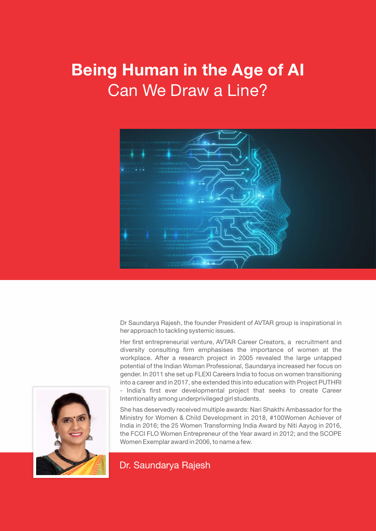# **Being Human in the Age of AI** Can We Draw a Line?



Dr Saundarya Rajesh, the founder President of AVTAR group is inspirational in her approach to tackling systemic issues.

Her first entrepreneurial venture, AVTAR Career Creators, a recruitment and diversity consulting firm emphasises the importance of women at the workplace. After a research project in 2005 revealed the large untapped potential of the Indian Woman Professional, Saundarya increased her focus on gender. In 2011 she set up FLEXI Careers India to focus on women transitioning into a career and in 2017, she extended this into education with Project PUTHRI - India's first ever developmental project that seeks to create Career Intentionality among underprivileged girl students.

She has deservedly received multiple awards: Nari Shakthi Ambassador for the Ministry for Women & Child Development in 2018, #100Women Achiever of India in 2016; the 25 Women Transforming India Award by Niti Aayog in 2016, the FCCI FLO Women Entrepreneur of the Year award in 2012; and the SCOPE Women Exemplar award in 2006, to name a few.

Dr. Saundarya Rajesh

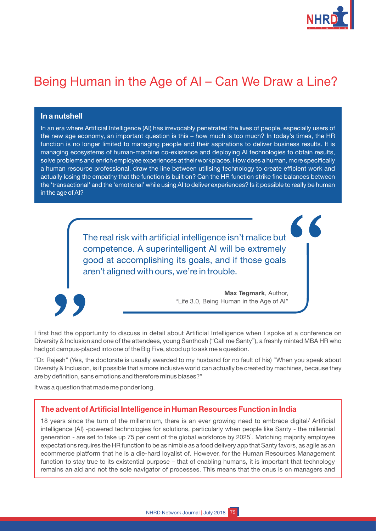

## Being Human in the Age of AI - Can We Draw a Line?

#### **In a nutshell**

In an era where Artificial Intelligence (AI) has irrevocably penetrated the lives of people, especially users of the new age economy, an important question is this  $-$  how much is too much? In today's times, the HR function is no longer limited to managing people and their aspirations to deliver business results. It is managing ecosystems of human-machine co-existence and deploying AI technologies to obtain results, solve problems and enrich employee experiences at their workplaces. How does a human, more specifically a human resource professional, draw the line between utilising technology to create efficient work and actually losing the empathy that the function is built on? Can the HR function strike fine balances between the 'transactional' and the 'emotional' while using AI to deliver experiences? Is it possible to really be human in the age of AI?

> The real risk with artificial intelligence isn't malice but competence. A superintelligent AI will be extremely good at accomplishing its goals, and if those goals aren't aligned with ours, we're in trouble.



**Max Tegmark**, Author, "Life 3.0, Being Human in the Age of Al"

I first had the opportunity to discuss in detail about Artificial Intelligence when I spoke at a conference on Diversity & Inclusion and one of the attendees, young Santhosh ("Call me Santy"), a freshly minted MBA HR who had got campus-placed into one of the Big Five, stood up to ask me a question.

"Dr. Rajesh" (Yes, the doctorate is usually awarded to my husband for no fault of his) "When you speak about Diversity & Inclusion, is it possible that a more inclusive world can actually be created by machines, because they are by definition, sans emotions and therefore minus biases?

It was a question that made me ponder long.

#### **The advent of Artificial Intelligence in Human Resources Function in India**

18 years since the turn of the millennium, there is an ever growing need to embrace digital/ Artificial intelligence (AI) -powered technologies for solutions, particularly when people like Santy - the millennial generation - are set to take up 75 per cent of the global workforce by 2025<sup>1</sup>. Matching majority employee expectations requires the HR function to be as nimble as a food delivery app that Santy favors, as agile as an ecommerce platform that he is a die-hard loyalist of. However, for the Human Resources Management function to stay true to its existential purpose – that of enabling humans, it is important that technology remains an aid and not the sole navigator of processes. This means that the onus is on managers and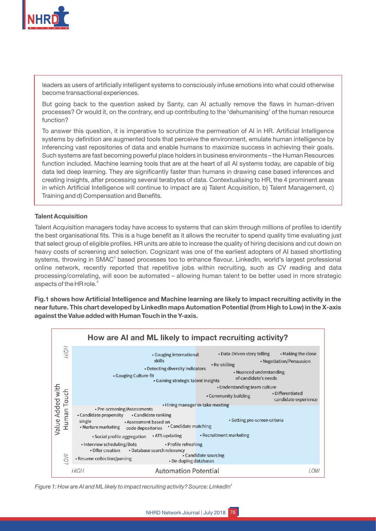

leaders as users of artificially intelligent systems to consciously infuse emotions into what could otherwise become transactional experiences.

But going back to the question asked by Santy, can AI actually remove the flaws in human-driven processes? Or would it, on the contrary, end up contributing to the 'dehumanising' of the human resource function?

To answer this question, it is imperative to scrutinize the permeation of AI in HR. Artificial Intelligence systems by definition are augmented tools that perceive the environment, emulate human intelligence by inferencing vast repositories of data and enable humans to maximize success in achieving their goals. Such systems are fast becoming powerful place holders in business environments - the Human Resources function included. Machine learning tools that are at the heart of all AI systems today, are capable of big data led deep learning. They are significantly faster than humans in drawing case based inferences and creating insights, after processing several terabytes of data. Contextualising to HR, the 4 prominent areas in which Artificial Intelligence will continue to impact are a) Talent Acquisition, b) Talent Management, c) Training and d) Compensation and Benefits.

#### **Talent Acquisition**

Talent Acquisition managers today have access to systems that can skim through millions of profiles to identify the best organisational fits. This is a huge benefit as it allows the recruiter to spend quality time evaluating just that select group of eligible profiles. HR units are able to increase the quality of hiring decisions and cut down on heavy costs of screening and selection. Cognizant was one of the earliest adopters of AI based shortlisting systems, throwing in SMAC<sup>2</sup> based processes too to enhance flavour. LinkedIn, world's largest professional online network, recently reported that repetitive jobs within recruiting, such as CV reading and data processing/correlating, will soon be automated - allowing human talent to be better used in more strategic aspects of the HR role. $^{\rm 3}$ 

**Fig.1 shows how Artificial Intelligence and Machine learning are likely to impact recruiting activity in the near future. This chart developed by LinkedIn maps Automation Potential (from High to Low) in the X-axis against the Value added with Human Touch in the Y-axis.** 



*4 Figure 1: How are AI and ML likely to impact recruiting activity? Source: LinkedIn*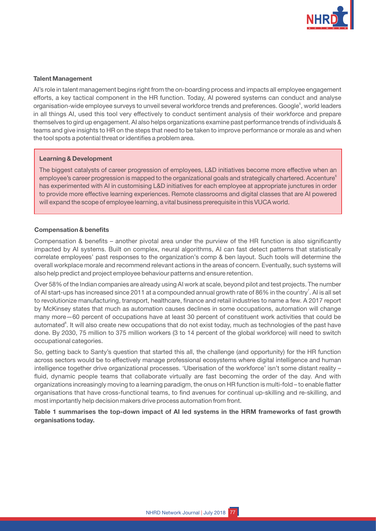

#### **Talent Management**

AI's role in talent management begins right from the on-boarding process and impacts all employee engagement efforts, a key tactical component in the HR function. Today, AI powered systems can conduct and analyse organisation-wide employee surveys to unveil several workforce trends and preferences. Google<sup>5</sup>, world leaders in all things AI, used this tool very effectively to conduct sentiment analysis of their workforce and prepare themselves to gird up engagement. AI also helps organizations examine past performance trends of individuals & teams and give insights to HR on the steps that need to be taken to improve performance or morale as and when the tool spots a potential threat or identifies a problem area.

#### **Learning & Development**

The biggest catalysts of career progression of employees, L&D initiatives become more effective when an employee's career progression is mapped to the organizational goals and strategically chartered. Accenture<sup>6</sup> has experimented with AI in customising L&D initiatives for each employee at appropriate junctures in order to provide more effective learning experiences. Remote classrooms and digital classes that are AI powered will expand the scope of employee learning, a vital business prerequisite in this VUCA world.

#### **Compensation & benefits**

Compensation & benefits – another pivotal area under the purview of the HR function is also significantly impacted by AI systems. Built on complex, neural algorithms, AI can fast detect patterns that statistically correlate employees' past responses to the organization's comp & ben layout. Such tools will determine the overall workplace morale and recommend relevant actions in the areas of concern. Eventually, such systems will also help predict and project employee behaviour patterns and ensure retention.

Over 58% of the Indian companies are already using AI work at scale, beyond pilot and test projects. The number of AI start-ups has increased since 2011 at a compounded annual growth rate of 86% in the country<sup>7</sup>. AI is all set to revolutionize manufacturing, transport, healthcare, finance and retail industries to name a few. A 2017 report by McKinsey states that much as automation causes declines in some occupations, automation will change many more -60 percent of occupations have at least 30 percent of constituent work activities that could be automated<sup>8</sup>. It will also create new occupations that do not exist today, much as technologies of the past have done. By 2030, 75 million to 375 million workers (3 to 14 percent of the global workforce) will need to switch occupational categories.

So, getting back to Santy's question that started this all, the challenge (and opportunity) for the HR function across sectors would be to effectively manage professional ecosystems where digital intelligence and human intelligence together drive organizational processes. 'Uberisation of the workforce' isn't some distant reality fluid, dynamic people teams that collaborate virtually are fast becoming the order of the day. And with organizations increasingly moving to a learning paradigm, the onus on HR function is multi-fold – to enable flatter organisations that have cross-functional teams, to find avenues for continual up-skilling and re-skilling, and most importantly help decision makers drive process automation from front.

**Table 1 summarises the top-down impact of AI led systems in the HRM frameworks of fast growth organisations today.**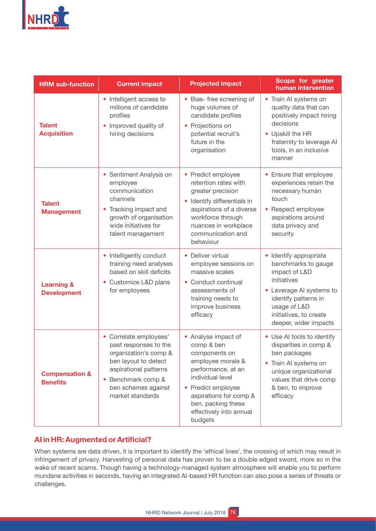

| <b>HRM sub-function</b>                      | <b>Current impact</b>                                                                                                                                                                    | <b>Projected impact</b>                                                                                                                                                                                                   | Scope for greater<br>human intervention                                                                                                                                                              |
|----------------------------------------------|------------------------------------------------------------------------------------------------------------------------------------------------------------------------------------------|---------------------------------------------------------------------------------------------------------------------------------------------------------------------------------------------------------------------------|------------------------------------------------------------------------------------------------------------------------------------------------------------------------------------------------------|
| <b>Talent</b><br><b>Acquisition</b>          | • Intelligent access to<br>millions of candidate<br>profiles<br>Improved quality of<br>hiring decisions                                                                                  | • Bias- free screening of<br>huge volumes of<br>candidate profiles<br>Projections on<br>$\bullet$<br>potential recruit's<br>future in the<br>organisation                                                                 | • Train AI systems on<br>quality data that can<br>positively impact hiring<br>decisions<br>• Upskill the HR<br>fraternity to leverage AI<br>tools, in an inclusive<br>manner                         |
| <b>Talent</b><br><b>Management</b>           | • Sentiment Analysis on<br>employee<br>communication<br>channels<br>Tracking impact and<br>growth of organisation<br>wide initiatives for<br>talent management                           | • Predict employee<br>retention rates with<br>greater precision<br>Identify differentials in<br>aspirations of a diverse<br>workforce through<br>nuances in workplace<br>communication and<br>behaviour                   | • Ensure that employee<br>experiences retain the<br>necessary human<br>touch<br>• Respect employee<br>aspirations around<br>data privacy and<br>security                                             |
| <b>Learning &amp;</b><br><b>Development</b>  | • Intelligently conduct<br>training need analyses<br>based on skill deficits<br>• Customize L&D plans<br>for employees                                                                   | • Deliver virtual<br>employee sessions on<br>massive scales<br>• Conduct continual<br>assessments of<br>training needs to<br>improve business<br>efficacy                                                                 | • Identify appropriate<br>benchmarks to gauge<br>impact of L&D<br>initiatives<br>• Leverage AI systems to<br>identify patterns in<br>usage of L&D<br>initiatives, to create<br>deeper, wider impacts |
| <b>Compensation &amp;</b><br><b>Benefits</b> | • Correlate employees'<br>past responses to the<br>organization's comp &<br>ben layout to detect<br>aspirational patterns<br>Benchmark comp &<br>ben schemes against<br>market standards | Analyse impact of<br>comp & ben<br>components on<br>employee morale &<br>performance, at an<br>individual level<br>Predict employee<br>aspirations for comp &<br>ben, packing these<br>effectively into annual<br>budgets | • Use AI tools to identify<br>disparities in comp &<br>ben packages<br>• Train AI systems on<br>unique organizational<br>values that drive comp<br>& ben, to improve<br>efficacy                     |

## **AI in HR: Augmented or Artificial?**

When systems are data driven, it is important to identify the 'ethical lines', the crossing of which may result in infringement of privacy. Harvesting of personal data has proven to be a double edged sword, more so in the wake of recent scams. Though having a technology-managed system atmosphere will enable you to perform mundane activities in seconds, having an integrated AI-based HR function can also pose a series of threats or challenges.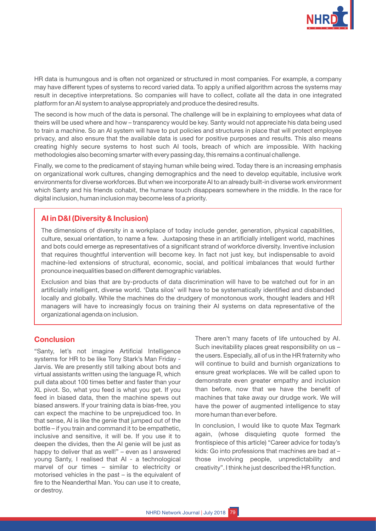

HR data is humungous and is often not organized or structured in most companies. For example, a company may have different types of systems to record varied data. To apply a unified algorithm across the systems may result in deceptive interpretations. So companies will have to collect, collate all the data in one integrated platform for an AI system to analyse appropriately and produce the desired results.

The second is how much of the data is personal. The challenge will be in explaining to employees what data of theirs will be used where and how - transparency would be key. Santy would not appreciate his data being used to train a machine. So an AI system will have to put policies and structures in place that will protect employee privacy, and also ensure that the available data is used for positive purposes and results. This also means creating highly secure systems to host such AI tools, breach of which are impossible. With hacking methodologies also becoming smarter with every passing day, this remains a continual challenge.

Finally, we come to the predicament of staying human while being wired. Today there is an increasing emphasis on organizational work cultures, changing demographics and the need to develop equitable, inclusive work environments for diverse workforces. But when we incorporate AI to an already built-in diverse work environment which Santy and his friends cohabit, the humane touch disappears somewhere in the middle. In the race for digital inclusion, human inclusion may become less of a priority.

## **AI in D&I (Diversity & Inclusion)**

The dimensions of diversity in a workplace of today include gender, generation, physical capabilities, culture, sexual orientation, to name a few. Juxtaposing these in an artificially intelligent world, machines and bots could emerge as representatives of a significant strand of workforce diversity. Inventive inclusion that requires thoughtful intervention will become key. In fact not just key, but indispensable to avoid machine-led extensions of structural, economic, social, and political imbalances that would further pronounce inequalities based on different demographic variables.

Exclusion and bias that are by-products of data discrimination will have to be watched out for in an artificially intelligent, diverse world. 'Data silos' will have to be systematically identified and disbanded locally and globally. While the machines do the drudgery of monotonous work, thought leaders and HR managers will have to increasingly focus on training their AI systems on data representative of the organizational agenda on inclusion.

## **Conclusion**

"Santy, let's not imagine Artificial Intelligence systems for HR to be like Tony Stark's Man Friday -Jarvis. We are presently still talking about bots and virtual assistants written using the language R, which pull data about 100 times better and faster than your XL pivot. So, what you feed is what you get. If you feed in biased data, then the machine spews out biased answers. If your training data is bias-free, you can expect the machine to be unprejudiced too. In that sense, AI is like the genie that jumped out of the bottle – if you train and command it to be empathetic, inclusive and sensitive, it will be. If you use it to deepen the divides, then the AI genie will be just as happy to deliver that as well!"  $-$  even as I answered young Santy, I realised that AI - a technological marvel of our times  $-$  similar to electricity or motorised vehicles in the past  $-$  is the equivalent of fire to the Neanderthal Man. You can use it to create, or destroy.

There aren't many facets of life untouched by AI. Such inevitability places great responsibility on us the users. Especially, all of us in the HR fraternity who will continue to build and burnish organizations to ensure great workplaces. We will be called upon to demonstrate even greater empathy and inclusion than before, now that we have the benefit of machines that take away our drudge work. We will have the power of augmented intelligence to stay more human than ever before.

In conclusion, I would like to quote Max Tegmark again, (whose disquieting quote formed the frontispiece of this article) "Career advice for today's kids: Go into professions that machines are bad at those involving people, unpredictability and creativity". I think he just described the HR function.